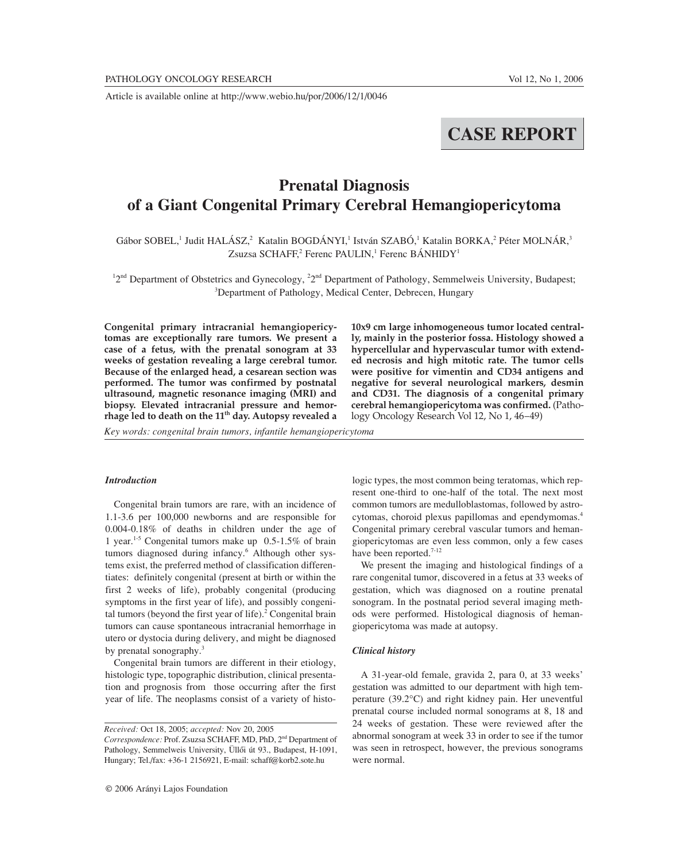Article is available online at http://www.webio.hu/por/2006/12/1/0046

# **CASE REPORT**

# **Prenatal Diagnosis of a Giant Congenital Primary Cerebral Hemangiopericytoma**

Gábor SOBEL,<sup>1</sup> Judit HALÁSZ,<sup>2</sup> Katalin BOGDÁNYI,<sup>1</sup> István SZABÓ,<sup>1</sup> Katalin BORKA,<sup>2</sup> Péter MOLNÁR,<sup>3</sup> Zsuzsa SCHAFF,<sup>2</sup> Ferenc PAULIN,<sup>1</sup> Ferenc BÁNHIDY<sup>1</sup>

 $12<sup>nd</sup>$  Department of Obstetrics and Gynecology,  $2<sup>nd</sup>$  Department of Pathology, Semmelweis University, Budapest; <sup>3</sup>Department of Pathology, Medical Center, Debrecen, Hungary

**Congenital primary intracranial hemangiopericytomas are exceptionally rare tumors. We present a case of a fetus, with the prenatal sonogram at 33 weeks of gestation revealing a large cerebral tumor. Because of the enlarged head, a cesarean section was performed. The tumor was confirmed by postnatal ultrasound, magnetic resonance imaging (MRI) and biopsy. Elevated intracranial pressure and hemorrhage led to death on the 11th day. Autopsy revealed a**

**hypercellular and hypervascular tumor with extended necrosis and high mitotic rate. The tumor cells were positive for vimentin and CD34 antigens and negative for several neurological markers, desmin and CD31. The diagnosis of a congenital primary cerebral hemangiopericytoma was confirmed.** (Pathology Oncology Research Vol 12, No 1, 46–49)

**10x9 cm large inhomogeneous tumor located centrally, mainly in the posterior fossa. Histology showed a**

*Key words: congenital brain tumors, infantile hemangiopericytoma*

#### *Introduction*

Congenital brain tumors are rare, with an incidence of 1.1-3.6 per 100,000 newborns and are responsible for 0.004-0.18% of deaths in children under the age of 1 year.1-5 Congenital tumors make up 0.5-1.5% of brain tumors diagnosed during infancy.<sup>6</sup> Although other systems exist, the preferred method of classification differentiates: definitely congenital (present at birth or within the first 2 weeks of life), probably congenital (producing symptoms in the first year of life), and possibly congenital tumors (beyond the first year of life). $\frac{2}{3}$  Congenital brain tumors can cause spontaneous intracranial hemorrhage in utero or dystocia during delivery, and might be diagnosed by prenatal sonography.<sup>3</sup>

Congenital brain tumors are different in their etiology, histologic type, topographic distribution, clinical presentation and prognosis from those occurring after the first year of life. The neoplasms consist of a variety of histologic types, the most common being teratomas, which represent one-third to one-half of the total. The next most common tumors are medulloblastomas, followed by astrocytomas, choroid plexus papillomas and ependymomas.4 Congenital primary cerebral vascular tumors and hemangiopericytomas are even less common, only a few cases have been reported.<sup>7-12</sup>

We present the imaging and histological findings of a rare congenital tumor, discovered in a fetus at 33 weeks of gestation, which was diagnosed on a routine prenatal sonogram. In the postnatal period several imaging methods were performed. Histological diagnosis of hemangiopericytoma was made at autopsy.

#### *Clinical history*

A 31-year-old female, gravida 2, para 0, at 33 weeks' gestation was admitted to our department with high temperature (39.2°C) and right kidney pain. Her uneventful prenatal course included normal sonograms at 8, 18 and 24 weeks of gestation. These were reviewed after the abnormal sonogram at week 33 in order to see if the tumor was seen in retrospect, however, the previous sonograms were normal.

*Received:* Oct 18, 2005; *accepted:* Nov 20, 2005 *Correspondence:* Prof. Zsuzsa SCHAFF, MD, PhD, 2nd Department of Pathology, Semmelweis University, Üllôi út 93., Budapest, H-1091, Hungary; Tel./fax: +36-1 2156921, E-mail: schaff@korb2.sote.hu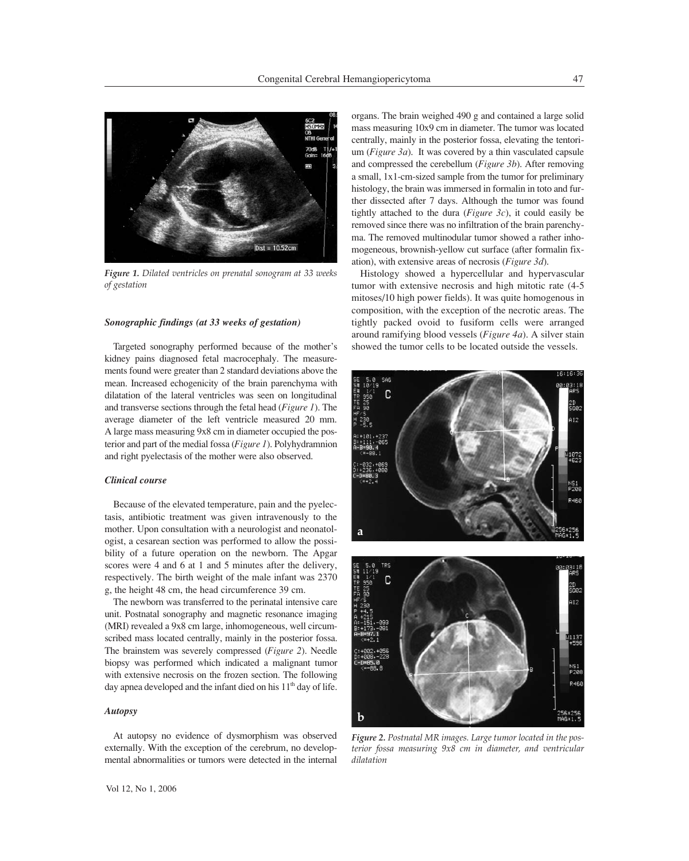

*Figure 1. Dilated ventricles on prenatal sonogram at 33 weeks of gestation*

### *Sonographic findings (at 33 weeks of gestation)*

Targeted sonography performed because of the mother's kidney pains diagnosed fetal macrocephaly. The measurements found were greater than 2 standard deviations above the mean. Increased echogenicity of the brain parenchyma with dilatation of the lateral ventricles was seen on longitudinal and transverse sections through the fetal head (*Figure 1*). The average diameter of the left ventricle measured 20 mm. A large mass measuring 9x8 cm in diameter occupied the posterior and part of the medial fossa (*Figure 1*). Polyhydramnion and right pyelectasis of the mother were also observed.

#### *Clinical course*

Because of the elevated temperature, pain and the pyelectasis, antibiotic treatment was given intravenously to the mother. Upon consultation with a neurologist and neonatologist, a cesarean section was performed to allow the possibility of a future operation on the newborn. The Apgar scores were 4 and 6 at 1 and 5 minutes after the delivery, respectively. The birth weight of the male infant was 2370 g, the height 48 cm, the head circumference 39 cm.

The newborn was transferred to the perinatal intensive care unit. Postnatal sonography and magnetic resonance imaging (MRI) revealed a 9x8 cm large, inhomogeneous, well circumscribed mass located centrally, mainly in the posterior fossa. The brainstem was severely compressed (*Figure 2*). Needle biopsy was performed which indicated a malignant tumor with extensive necrosis on the frozen section. The following day apnea developed and the infant died on his  $11<sup>th</sup>$  day of life.

#### *Autopsy*

At autopsy no evidence of dysmorphism was observed externally. With the exception of the cerebrum, no developmental abnormalities or tumors were detected in the internal organs. The brain weighed 490 g and contained a large solid mass measuring 10x9 cm in diameter. The tumor was located centrally, mainly in the posterior fossa, elevating the tentorium (*Figure 3a*). It was covered by a thin vasculated capsule and compressed the cerebellum (*Figure 3b*). After removing a small, 1x1-cm-sized sample from the tumor for preliminary histology, the brain was immersed in formalin in toto and further dissected after 7 days. Although the tumor was found tightly attached to the dura (*Figure 3c*), it could easily be removed since there was no infiltration of the brain parenchyma. The removed multinodular tumor showed a rather inhomogeneous, brownish-yellow cut surface (after formalin fixation), with extensive areas of necrosis (*Figure 3d*).

Histology showed a hypercellular and hypervascular tumor with extensive necrosis and high mitotic rate (4-5 mitoses/10 high power fields). It was quite homogenous in composition, with the exception of the necrotic areas. The tightly packed ovoid to fusiform cells were arranged around ramifying blood vessels (*Figure 4a*). A silver stain showed the tumor cells to be located outside the vessels.





*Figure 2. Postnatal MR images. Large tumor located in the posterior fossa measuring 9x8 cm in diameter, and ventricular dilatation*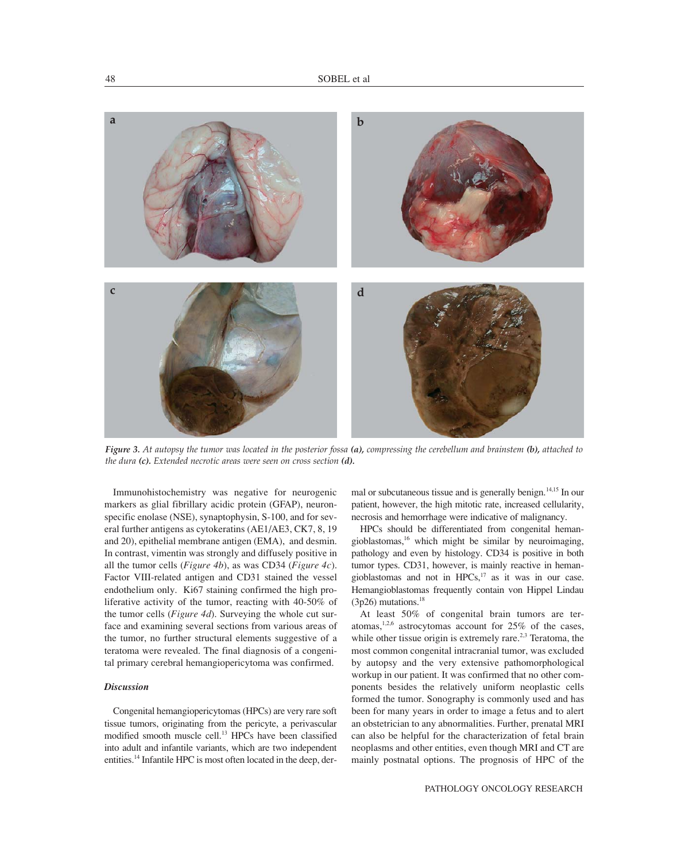

*Figure 3. At autopsy the tumor was located in the posterior fossa (a), compressing the cerebellum and brainstem (b), attached to the dura (c). Extended necrotic areas were seen on cross section (d).*

Immunohistochemistry was negative for neurogenic markers as glial fibrillary acidic protein (GFAP), neuronspecific enolase (NSE), synaptophysin, S-100, and for several further antigens as cytokeratins (AE1/AE3, CK7, 8, 19 and 20), epithelial membrane antigen (EMA), and desmin. In contrast, vimentin was strongly and diffusely positive in all the tumor cells (*Figure 4b*), as was CD34 (*Figure 4c*). Factor VIII-related antigen and CD31 stained the vessel endothelium only. Ki67 staining confirmed the high proliferative activity of the tumor, reacting with 40-50% of the tumor cells (*Figure 4d*). Surveying the whole cut surface and examining several sections from various areas of the tumor, no further structural elements suggestive of a teratoma were revealed. The final diagnosis of a congenital primary cerebral hemangiopericytoma was confirmed.

## *Discussion*

Congenital hemangiopericytomas (HPCs) are very rare soft tissue tumors, originating from the pericyte, a perivascular modified smooth muscle cell.<sup>13</sup> HPCs have been classified into adult and infantile variants, which are two independent entities.14 Infantile HPC is most often located in the deep, dermal or subcutaneous tissue and is generally benign.<sup>14,15</sup> In our patient, however, the high mitotic rate, increased cellularity, necrosis and hemorrhage were indicative of malignancy.

HPCs should be differentiated from congenital hemangioblastomas, $16$  which might be similar by neuroimaging, pathology and even by histology. CD34 is positive in both tumor types. CD31, however, is mainly reactive in hemangioblastomas and not in HPCs,<sup>17</sup> as it was in our case. Hemangioblastomas frequently contain von Hippel Lindau  $(3p26)$  mutations.<sup>18</sup>

At least 50% of congenital brain tumors are teratomas,<sup>1,2,6</sup> astrocytomas account for  $25\%$  of the cases, while other tissue origin is extremely rare.<sup>2,3</sup> Teratoma, the most common congenital intracranial tumor, was excluded by autopsy and the very extensive pathomorphological workup in our patient. It was confirmed that no other components besides the relatively uniform neoplastic cells formed the tumor. Sonography is commonly used and has been for many years in order to image a fetus and to alert an obstetrician to any abnormalities. Further, prenatal MRI can also be helpful for the characterization of fetal brain neoplasms and other entities, even though MRI and CT are mainly postnatal options. The prognosis of HPC of the